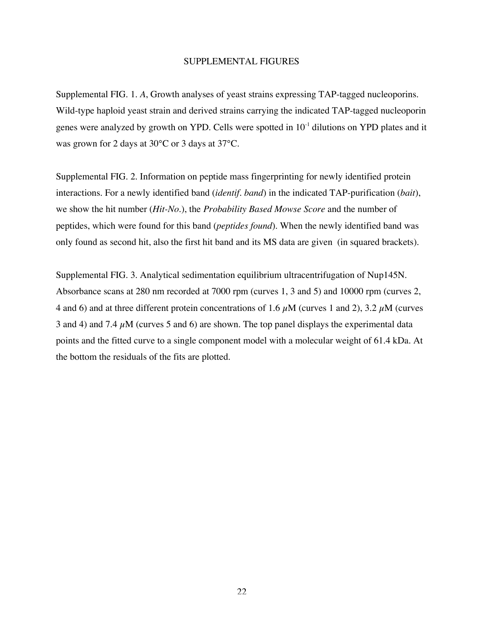## SUPPLEMENTAL FIGURES

Supplemental FIG. 1. *A*, Growth analyses of yeast strains expressing TAP-tagged nucleoporins. Wild-type haploid yeast strain and derived strains carrying the indicated TAP-tagged nucleoporin genes were analyzed by growth on YPD. Cells were spotted in 10-1 dilutions on YPD plates and it was grown for 2 days at 30°C or 3 days at 37°C.

Supplemental FIG. 2. Information on peptide mass fingerprinting for newly identified protein interactions. For a newly identified band (*identif. band*) in the indicated TAP-purification (*bait*), we show the hit number (*Hit-No*.), the *Probability Based Mowse Score* and the number of peptides, which were found for this band (*peptides found*). When the newly identified band was only found as second hit, also the first hit band and its MS data are given (in squared brackets).

Supplemental FIG. 3. Analytical sedimentation equilibrium ultracentrifugation of Nup145N. Absorbance scans at 280 nm recorded at 7000 rpm (curves 1, 3 and 5) and 10000 rpm (curves 2, 4 and 6) and at three different protein concentrations of 1.6  $\mu$ M (curves 1 and 2), 3.2  $\mu$ M (curves 3 and 4) and 7.4  $\mu$ M (curves 5 and 6) are shown. The top panel displays the experimental data points and the fitted curve to a single component model with a molecular weight of 61.4 kDa. At the bottom the residuals of the fits are plotted.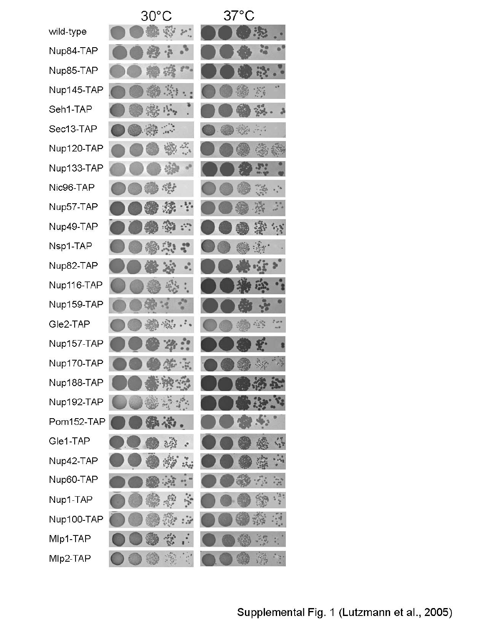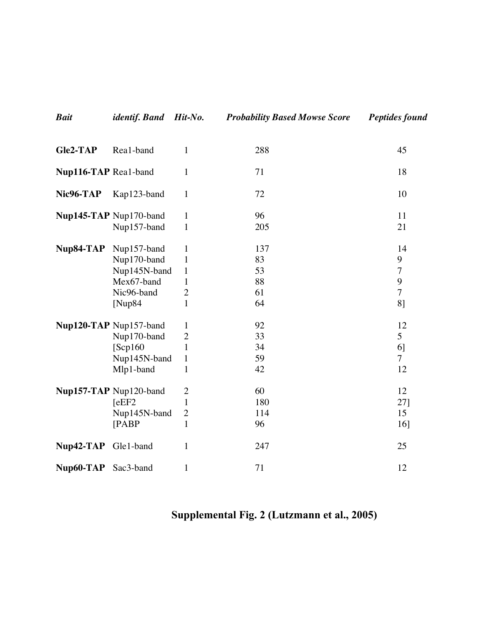| Gle2-TAP             | Rea1-band                                                                             | $\mathbf{1}$                                                                                   | 288                               | 45                                                     |
|----------------------|---------------------------------------------------------------------------------------|------------------------------------------------------------------------------------------------|-----------------------------------|--------------------------------------------------------|
| Nup116-TAP Real-band |                                                                                       | $\mathbf{1}$                                                                                   | 71                                | 18                                                     |
| Nic96-TAP            | Kap123-band                                                                           | $\mathbf{1}$                                                                                   | 72                                | 10                                                     |
|                      | Nup145-TAP Nup170-band<br>Nup157-band                                                 | $\mathbf{1}$<br>$\mathbf{1}$                                                                   | 96<br>205                         | 11<br>21                                               |
| Nup84-TAP            | Nup157-band<br>Nup170-band<br>Nup145N-band<br>Mex67-band<br>Nic96-band<br>[ $Nup84$ ] | $\mathbf{1}$<br>$\mathbf{1}$<br>$\mathbf{1}$<br>$\mathbf{1}$<br>$\overline{2}$<br>$\mathbf{1}$ | 137<br>83<br>53<br>88<br>61<br>64 | 14<br>9<br>$\overline{7}$<br>9<br>$\overline{7}$<br>8] |
|                      | Nup120-TAP Nup157-band<br>Nup170-band<br>[Sep160]<br>Nup145N-band<br>Mlp1-band        | $\mathbf{1}$<br>$\mathbf{2}$<br>$\mathbf{1}$<br>$\mathbf{1}$<br>$\mathbf{1}$                   | 92<br>33<br>34<br>59<br>42        | 12<br>5<br>6]<br>$\overline{7}$<br>12                  |
|                      | Nup157-TAP Nup120-band<br>[eEF2]<br>Nup145N-band<br>[PABP                             | $\overline{2}$<br>$\mathbf{1}$<br>$\boldsymbol{2}$<br>$\mathbf{1}$                             | 60<br>180<br>114<br>96            | 12<br>27]<br>15<br>16]                                 |
| Nup42-TAP Gle1-band  |                                                                                       | $\mathbf{1}$                                                                                   | 247                               | 25                                                     |
| Nup60-TAP            | Sac3-band                                                                             | $\mathbf{1}$                                                                                   | 71                                | 12                                                     |

*Bait identif. Band Hit-No. Probability Based Mowse Score Peptides found*

## Supplemental Fig. 2 (Lutzmann et al., 2005)